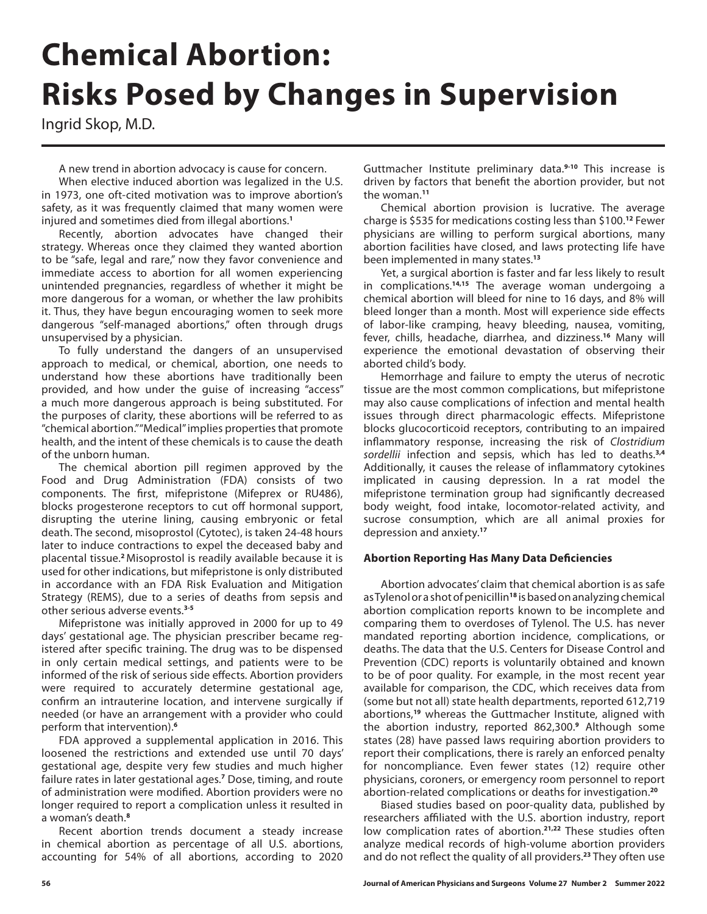# **Chemical Abortion: Risks Posed by Changes in Supervision**

Ingrid Skop, M.D.

A new trend in abortion advocacy is cause for concern.

When elective induced abortion was legalized in the U.S. in 1973, one oft-cited motivation was to improve abortion's safety, as it was frequently claimed that many women were injured and sometimes died from illegal abortions.**<sup>1</sup>**

Recently, abortion advocates have changed their strategy. Whereas once they claimed they wanted abortion to be "safe, legal and rare," now they favor convenience and immediate access to abortion for all women experiencing unintended pregnancies, regardless of whether it might be more dangerous for a woman, or whether the law prohibits it. Thus, they have begun encouraging women to seek more dangerous "self-managed abortions," often through drugs unsupervised by a physician.

To fully understand the dangers of an unsupervised approach to medical, or chemical, abortion, one needs to understand how these abortions have traditionally been provided, and how under the guise of increasing "access" a much more dangerous approach is being substituted. For the purposes of clarity, these abortions will be referred to as "chemical abortion." "Medical" implies properties that promote health, and the intent of these chemicals is to cause the death of the unborn human.

The chemical abortion pill regimen approved by the Food and Drug Administration (FDA) consists of two components. The first, mifepristone (Mifeprex or RU486), blocks progesterone receptors to cut off hormonal support, disrupting the uterine lining, causing embryonic or fetal death. The second, misoprostol (Cytotec), is taken 24-48 hours later to induce contractions to expel the deceased baby and placental tissue.**<sup>2</sup>**Misoprostol is readily available because it is used for other indications, but mifepristone is only distributed in accordance with an FDA Risk Evaluation and Mitigation Strategy (REMS), due to a series of deaths from sepsis and other serious adverse events.**3-5**

Mifepristone was initially approved in 2000 for up to 49 days' gestational age. The physician prescriber became registered after specific training. The drug was to be dispensed in only certain medical settings, and patients were to be informed of the risk of serious side effects. Abortion providers were required to accurately determine gestational age, confirm an intrauterine location, and intervene surgically if needed (or have an arrangement with a provider who could perform that intervention).**<sup>6</sup>**

FDA approved a supplemental application in 2016. This loosened the restrictions and extended use until 70 days' gestational age, despite very few studies and much higher failure rates in later gestational ages.**<sup>7</sup>** Dose, timing, and route of administration were modified. Abortion providers were no longer required to report a complication unless it resulted in a woman's death.**<sup>8</sup>**

Recent abortion trends document a steady increase in chemical abortion as percentage of all U.S. abortions, accounting for 54% of all abortions, according to 2020

Guttmacher Institute preliminary data.**9-10** This increase is driven by factors that benefit the abortion provider, but not the woman.**<sup>11</sup>**

Chemical abortion provision is lucrative. The average charge is \$535 for medications costing less than \$100.**<sup>12</sup>** Fewer physicians are willing to perform surgical abortions, many abortion facilities have closed, and laws protecting life have been implemented in many states.**<sup>13</sup>**

Yet, a surgical abortion is faster and far less likely to result in complications.**14,15** The average woman undergoing a chemical abortion will bleed for nine to 16 days, and 8% will bleed longer than a month. Most will experience side effects of labor-like cramping, heavy bleeding, nausea, vomiting, fever, chills, headache, diarrhea, and dizziness.**<sup>16</sup>** Many will experience the emotional devastation of observing their aborted child's body.

Hemorrhage and failure to empty the uterus of necrotic tissue are the most common complications, but mifepristone may also cause complications of infection and mental health issues through direct pharmacologic effects. Mifepristone blocks glucocorticoid receptors, contributing to an impaired inflammatory response, increasing the risk of *Clostridium sordellii* infection and sepsis, which has led to deaths.**3,4**  Additionally, it causes the release of inflammatory cytokines implicated in causing depression. In a rat model the mifepristone termination group had significantly decreased body weight, food intake, locomotor-related activity, and sucrose consumption, which are all animal proxies for depression and anxiety.**<sup>17</sup>**

## **Abortion Reporting Has Many Data Deficiencies**

Abortion advocates' claim that chemical abortion is as safe as Tylenol or a shot of penicillin**<sup>18</sup>** is based on analyzing chemical abortion complication reports known to be incomplete and comparing them to overdoses of Tylenol. The U.S. has never mandated reporting abortion incidence, complications, or deaths. The data that the U.S. Centers for Disease Control and Prevention (CDC) reports is voluntarily obtained and known to be of poor quality. For example, in the most recent year available for comparison, the CDC, which receives data from (some but not all) state health departments, reported 612,719 abortions,**<sup>19</sup>** whereas the Guttmacher Institute, aligned with the abortion industry, reported 862,300.**<sup>9</sup>** Although some states (28) have passed laws requiring abortion providers to report their complications, there is rarely an enforced penalty for noncompliance. Even fewer states (12) require other physicians, coroners, or emergency room personnel to report abortion-related complications or deaths for investigation.**<sup>20</sup>**

Biased studies based on poor-quality data, published by researchers affiliated with the U.S. abortion industry, report low complication rates of abortion.**21,22** These studies often analyze medical records of high-volume abortion providers and do not reflect the quality of all providers.**<sup>23</sup>** They often use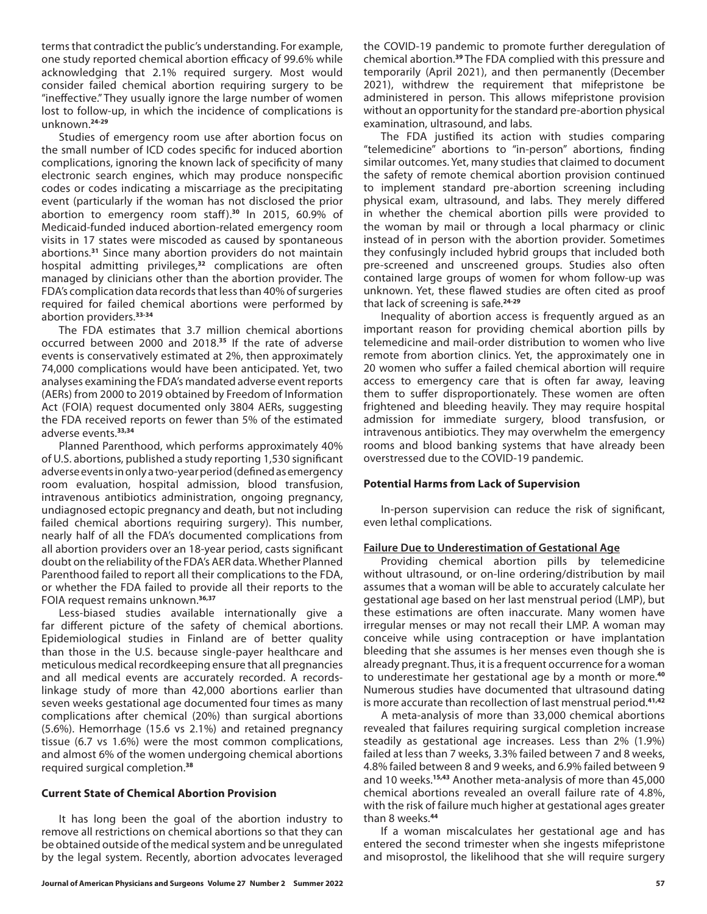terms that contradict the public's understanding. For example, one study reported chemical abortion efficacy of 99.6% while acknowledging that 2.1% required surgery. Most would consider failed chemical abortion requiring surgery to be "ineffective." They usually ignore the large number of women lost to follow-up, in which the incidence of complications is unknown.**24-29**

Studies of emergency room use after abortion focus on the small number of ICD codes specific for induced abortion complications, ignoring the known lack of specificity of many electronic search engines, which may produce nonspecific codes or codes indicating a miscarriage as the precipitating event (particularly if the woman has not disclosed the prior abortion to emergency room staff ).**<sup>30</sup>** In 2015, 60.9% of Medicaid-funded induced abortion-related emergency room visits in 17 states were miscoded as caused by spontaneous abortions.**<sup>31</sup>** Since many abortion providers do not maintain hospital admitting privileges,**<sup>32</sup>** complications are often managed by clinicians other than the abortion provider. The FDA's complication data records that less than 40% of surgeries required for failed chemical abortions were performed by abortion providers.**33-34**

The FDA estimates that 3.7 million chemical abortions occurred between 2000 and 2018.**<sup>35</sup>** If the rate of adverse events is conservatively estimated at 2%, then approximately 74,000 complications would have been anticipated. Yet, two analyses examining the FDA's mandated adverse event reports (AERs) from 2000 to 2019 obtained by Freedom of Information Act (FOIA) request documented only 3804 AERs, suggesting the FDA received reports on fewer than 5% of the estimated adverse events.**33,34**

Planned Parenthood, which performs approximately 40% of U.S. abortions, published a study reporting 1,530 significant adverse events in only a two-year period (defined as emergency room evaluation, hospital admission, blood transfusion, intravenous antibiotics administration, ongoing pregnancy, undiagnosed ectopic pregnancy and death, but not including failed chemical abortions requiring surgery). This number, nearly half of all the FDA's documented complications from all abortion providers over an 18-year period, casts significant doubt on the reliability of the FDA's AER data. Whether Planned Parenthood failed to report all their complications to the FDA, or whether the FDA failed to provide all their reports to the FOIA request remains unknown.**36,37**

Less-biased studies available internationally give a far different picture of the safety of chemical abortions. Epidemiological studies in Finland are of better quality than those in the U.S. because single-payer healthcare and meticulous medical recordkeeping ensure that all pregnancies and all medical events are accurately recorded. A recordslinkage study of more than 42,000 abortions earlier than seven weeks gestational age documented four times as many complications after chemical (20%) than surgical abortions (5.6%). Hemorrhage (15.6 vs 2.1%) and retained pregnancy tissue (6.7 vs 1.6%) were the most common complications, and almost 6% of the women undergoing chemical abortions required surgical completion.**<sup>38</sup>**

## **Current State of Chemical Abortion Provision**

It has long been the goal of the abortion industry to remove all restrictions on chemical abortions so that they can be obtained outside of the medical system and be unregulated by the legal system. Recently, abortion advocates leveraged

the COVID-19 pandemic to promote further deregulation of chemical abortion.**<sup>39</sup>** The FDA complied with this pressure and temporarily (April 2021), and then permanently (December 2021), withdrew the requirement that mifepristone be administered in person. This allows mifepristone provision without an opportunity for the standard pre-abortion physical examination, ultrasound, and labs.

The FDA justified its action with studies comparing "telemedicine" abortions to "in-person" abortions, finding similar outcomes. Yet, many studies that claimed to document the safety of remote chemical abortion provision continued to implement standard pre-abortion screening including physical exam, ultrasound, and labs. They merely differed in whether the chemical abortion pills were provided to the woman by mail or through a local pharmacy or clinic instead of in person with the abortion provider. Sometimes they confusingly included hybrid groups that included both pre-screened and unscreened groups. Studies also often contained large groups of women for whom follow-up was unknown. Yet, these flawed studies are often cited as proof that lack of screening is safe.**24-29**

Inequality of abortion access is frequently argued as an important reason for providing chemical abortion pills by telemedicine and mail-order distribution to women who live remote from abortion clinics. Yet, the approximately one in 20 women who suffer a failed chemical abortion will require access to emergency care that is often far away, leaving them to suffer disproportionately. These women are often frightened and bleeding heavily. They may require hospital admission for immediate surgery, blood transfusion, or intravenous antibiotics. They may overwhelm the emergency rooms and blood banking systems that have already been overstressed due to the COVID-19 pandemic.

## **Potential Harms from Lack of Supervision**

In-person supervision can reduce the risk of significant, even lethal complications.

## **Failure Due to Underestimation of Gestational Age**

Providing chemical abortion pills by telemedicine without ultrasound, or on-line ordering/distribution by mail assumes that a woman will be able to accurately calculate her gestational age based on her last menstrual period (LMP), but these estimations are often inaccurate. Many women have irregular menses or may not recall their LMP. A woman may conceive while using contraception or have implantation bleeding that she assumes is her menses even though she is already pregnant. Thus, it is a frequent occurrence for a woman to underestimate her gestational age by a month or more.**<sup>40</sup>** Numerous studies have documented that ultrasound dating is more accurate than recollection of last menstrual period.**41,42**

A meta-analysis of more than 33,000 chemical abortions revealed that failures requiring surgical completion increase steadily as gestational age increases. Less than 2% (1.9%) failed at less than 7 weeks, 3.3% failed between 7 and 8 weeks, 4.8% failed between 8 and 9 weeks, and 6.9% failed between 9 and 10 weeks.**15,43** Another meta-analysis of more than 45,000 chemical abortions revealed an overall failure rate of 4.8%, with the risk of failure much higher at gestational ages greater than 8 weeks.**<sup>44</sup>**

If a woman miscalculates her gestational age and has entered the second trimester when she ingests mifepristone and misoprostol, the likelihood that she will require surgery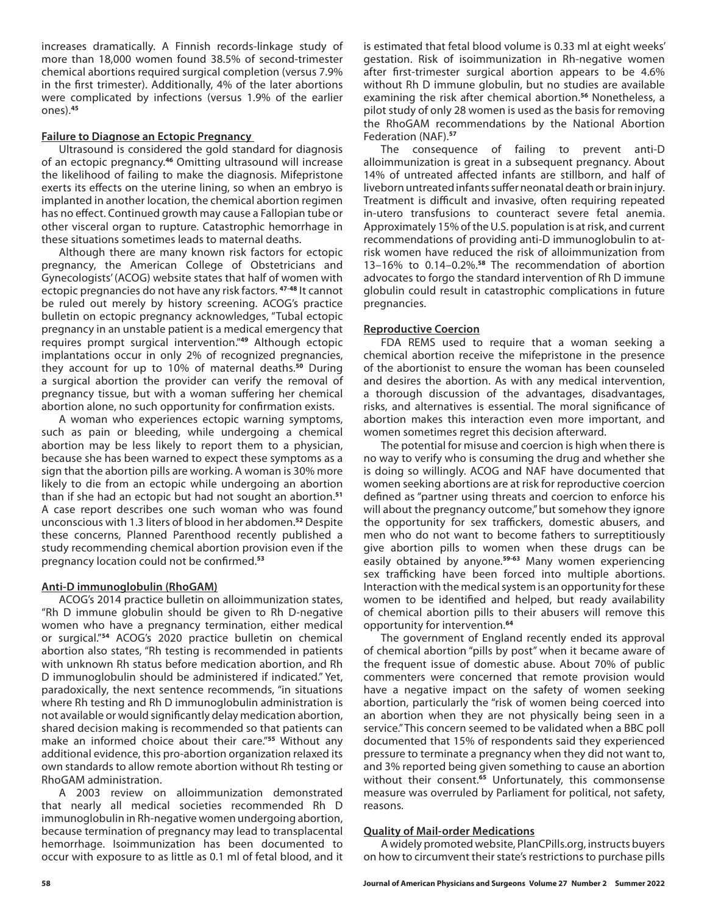increases dramatically. A Finnish records-linkage study of more than 18,000 women found 38.5% of second-trimester chemical abortions required surgical completion (versus 7.9% in the first trimester). Additionally, 4% of the later abortions were complicated by infections (versus 1.9% of the earlier ones).**<sup>45</sup>**

## **Failure to Diagnose an Ectopic Pregnancy**

Ultrasound is considered the gold standard for diagnosis of an ectopic pregnancy.**<sup>46</sup>** Omitting ultrasound will increase the likelihood of failing to make the diagnosis. Mifepristone exerts its effects on the uterine lining, so when an embryo is implanted in another location, the chemical abortion regimen has no effect. Continued growth may cause a Fallopian tube or other visceral organ to rupture. Catastrophic hemorrhage in these situations sometimes leads to maternal deaths.

Although there are many known risk factors for ectopic pregnancy, the American College of Obstetricians and Gynecologists' (ACOG) website states that half of women with ectopic pregnancies do not have any risk factors. **47-48** It cannot be ruled out merely by history screening. ACOG's practice bulletin on ectopic pregnancy acknowledges, "Tubal ectopic pregnancy in an unstable patient is a medical emergency that requires prompt surgical intervention."**<sup>49</sup>** Although ectopic implantations occur in only 2% of recognized pregnancies, they account for up to 10% of maternal deaths.**<sup>50</sup>** During a surgical abortion the provider can verify the removal of pregnancy tissue, but with a woman suffering her chemical abortion alone, no such opportunity for confirmation exists.

A woman who experiences ectopic warning symptoms, such as pain or bleeding, while undergoing a chemical abortion may be less likely to report them to a physician, because she has been warned to expect these symptoms as a sign that the abortion pills are working. A woman is 30% more likely to die from an ectopic while undergoing an abortion than if she had an ectopic but had not sought an abortion.**<sup>51</sup>** A case report describes one such woman who was found unconscious with 1.3 liters of blood in her abdomen.**<sup>52</sup>** Despite these concerns, Planned Parenthood recently published a study recommending chemical abortion provision even if the pregnancy location could not be confirmed.**<sup>53</sup>**

## **Anti-D immunoglobulin (RhoGAM)**

ACOG's 2014 practice bulletin on alloimmunization states, "Rh D immune globulin should be given to Rh D-negative women who have a pregnancy termination, either medical or surgical."**<sup>54</sup>** ACOG's 2020 practice bulletin on chemical abortion also states, "Rh testing is recommended in patients with unknown Rh status before medication abortion, and Rh D immunoglobulin should be administered if indicated." Yet, paradoxically, the next sentence recommends, "in situations where Rh testing and Rh D immunoglobulin administration is not available or would significantly delay medication abortion, shared decision making is recommended so that patients can make an informed choice about their care."**<sup>55</sup>** Without any additional evidence, this pro-abortion organization relaxed its own standards to allow remote abortion without Rh testing or RhoGAM administration.

A 2003 review on alloimmunization demonstrated that nearly all medical societies recommended Rh D immunoglobulin in Rh-negative women undergoing abortion, because termination of pregnancy may lead to transplacental hemorrhage. Isoimmunization has been documented to occur with exposure to as little as 0.1 ml of fetal blood, and it is estimated that fetal blood volume is 0.33 ml at eight weeks' gestation. Risk of isoimmunization in Rh-negative women after first-trimester surgical abortion appears to be 4.6% without Rh D immune globulin, but no studies are available examining the risk after chemical abortion.**<sup>56</sup>** Nonetheless, a pilot study of only 28 women is used as the basis for removing the RhoGAM recommendations by the National Abortion Federation (NAF).**<sup>57</sup>**

The consequence of failing to prevent anti-D alloimmunization is great in a subsequent pregnancy. About 14% of untreated affected infants are stillborn, and half of liveborn untreated infants suffer neonatal death or brain injury. Treatment is difficult and invasive, often requiring repeated in-utero transfusions to counteract severe fetal anemia. Approximately 15% of the U.S. population is at risk, and current recommendations of providing anti-D immunoglobulin to atrisk women have reduced the risk of alloimmunization from 13–16% to 0.14–0.2%.**<sup>58</sup>** The recommendation of abortion advocates to forgo the standard intervention of Rh D immune globulin could result in catastrophic complications in future pregnancies.

## **Reproductive Coercion**

FDA REMS used to require that a woman seeking a chemical abortion receive the mifepristone in the presence of the abortionist to ensure the woman has been counseled and desires the abortion. As with any medical intervention, a thorough discussion of the advantages, disadvantages, risks, and alternatives is essential. The moral significance of abortion makes this interaction even more important, and women sometimes regret this decision afterward.

The potential for misuse and coercion is high when there is no way to verify who is consuming the drug and whether she is doing so willingly. ACOG and NAF have documented that women seeking abortions are at risk for reproductive coercion defined as "partner using threats and coercion to enforce his will about the pregnancy outcome," but somehow they ignore the opportunity for sex traffickers, domestic abusers, and men who do not want to become fathers to surreptitiously give abortion pills to women when these drugs can be easily obtained by anyone.**59-63** Many women experiencing sex trafficking have been forced into multiple abortions. Interaction with the medical system is an opportunity for these women to be identified and helped, but ready availability of chemical abortion pills to their abusers will remove this opportunity for intervention.**<sup>64</sup>**

The government of England recently ended its approval of chemical abortion "pills by post" when it became aware of the frequent issue of domestic abuse. About 70% of public commenters were concerned that remote provision would have a negative impact on the safety of women seeking abortion, particularly the "risk of women being coerced into an abortion when they are not physically being seen in a service." This concern seemed to be validated when a BBC poll documented that 15% of respondents said they experienced pressure to terminate a pregnancy when they did not want to, and 3% reported being given something to cause an abortion without their consent.**<sup>65</sup>** Unfortunately, this commonsense measure was overruled by Parliament for political, not safety, reasons.

## **Quality of Mail-order Medications**

A widely promoted website, PlanCPills.org, instructs buyers on how to circumvent their state's restrictions to purchase pills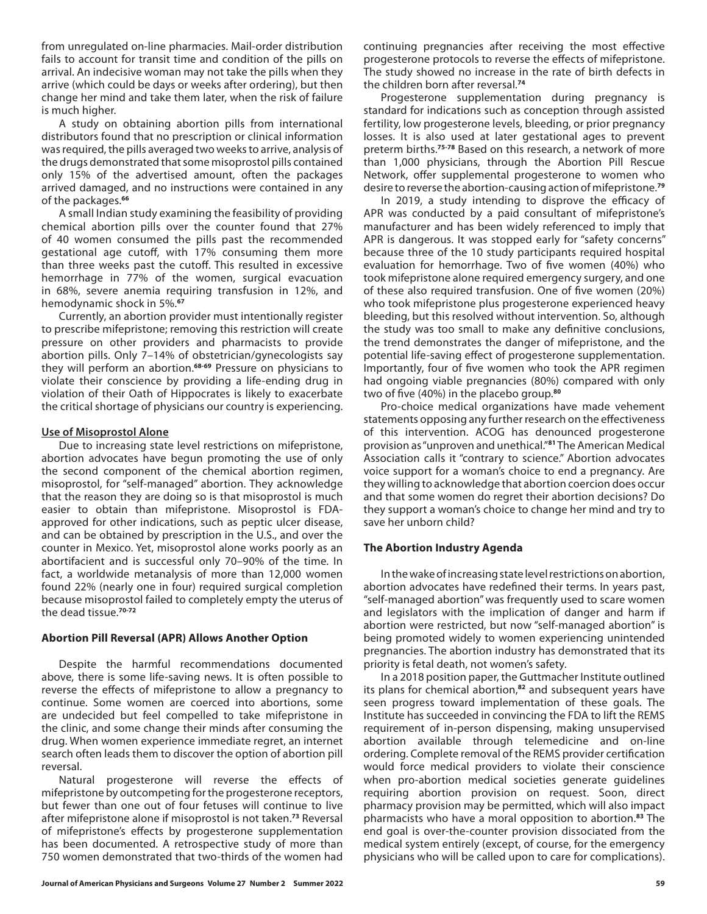from unregulated on-line pharmacies. Mail-order distribution fails to account for transit time and condition of the pills on arrival. An indecisive woman may not take the pills when they arrive (which could be days or weeks after ordering), but then change her mind and take them later, when the risk of failure is much higher.

A study on obtaining abortion pills from international distributors found that no prescription or clinical information was required, the pills averaged two weeks to arrive, analysis of the drugs demonstrated that some misoprostol pills contained only 15% of the advertised amount, often the packages arrived damaged, and no instructions were contained in any of the packages.**<sup>66</sup>**

A small Indian study examining the feasibility of providing chemical abortion pills over the counter found that 27% of 40 women consumed the pills past the recommended gestational age cutoff, with 17% consuming them more than three weeks past the cutoff. This resulted in excessive hemorrhage in 77% of the women, surgical evacuation in 68%, severe anemia requiring transfusion in 12%, and hemodynamic shock in 5%.**<sup>67</sup>**

Currently, an abortion provider must intentionally register to prescribe mifepristone; removing this restriction will create pressure on other providers and pharmacists to provide abortion pills. Only 7–14% of obstetrician/gynecologists say they will perform an abortion.**68-69** Pressure on physicians to violate their conscience by providing a life-ending drug in violation of their Oath of Hippocrates is likely to exacerbate the critical shortage of physicians our country is experiencing.

## **Use of Misoprostol Alone**

Due to increasing state level restrictions on mifepristone, abortion advocates have begun promoting the use of only the second component of the chemical abortion regimen, misoprostol, for "self-managed" abortion. They acknowledge that the reason they are doing so is that misoprostol is much easier to obtain than mifepristone. Misoprostol is FDAapproved for other indications, such as peptic ulcer disease, and can be obtained by prescription in the U.S., and over the counter in Mexico. Yet, misoprostol alone works poorly as an abortifacient and is successful only 70–90% of the time. In fact, a worldwide metanalysis of more than 12,000 women found 22% (nearly one in four) required surgical completion because misoprostol failed to completely empty the uterus of the dead tissue.**70-72**

## **Abortion Pill Reversal (APR) Allows Another Option**

Despite the harmful recommendations documented above, there is some life-saving news. It is often possible to reverse the effects of mifepristone to allow a pregnancy to continue. Some women are coerced into abortions, some are undecided but feel compelled to take mifepristone in the clinic, and some change their minds after consuming the drug. When women experience immediate regret, an internet search often leads them to discover the option of abortion pill reversal.

Natural progesterone will reverse the effects of mifepristone by outcompeting for the progesterone receptors, but fewer than one out of four fetuses will continue to live after mifepristone alone if misoprostol is not taken.**<sup>73</sup>** Reversal of mifepristone's effects by progesterone supplementation has been documented. A retrospective study of more than 750 women demonstrated that two-thirds of the women had

continuing pregnancies after receiving the most effective progesterone protocols to reverse the effects of mifepristone. The study showed no increase in the rate of birth defects in the children born after reversal.**<sup>74</sup>**

Progesterone supplementation during pregnancy is standard for indications such as conception through assisted fertility, low progesterone levels, bleeding, or prior pregnancy losses. It is also used at later gestational ages to prevent preterm births.**75-78** Based on this research, a network of more than 1,000 physicians, through the Abortion Pill Rescue Network, offer supplemental progesterone to women who desire to reverse the abortion-causing action of mifepristone.**<sup>79</sup>**

In 2019, a study intending to disprove the efficacy of APR was conducted by a paid consultant of mifepristone's manufacturer and has been widely referenced to imply that APR is dangerous. It was stopped early for "safety concerns" because three of the 10 study participants required hospital evaluation for hemorrhage. Two of five women (40%) who took mifepristone alone required emergency surgery, and one of these also required transfusion. One of five women (20%) who took mifepristone plus progesterone experienced heavy bleeding, but this resolved without intervention. So, although the study was too small to make any definitive conclusions, the trend demonstrates the danger of mifepristone, and the potential life-saving effect of progesterone supplementation. Importantly, four of five women who took the APR regimen had ongoing viable pregnancies (80%) compared with only two of five (40%) in the placebo group.**<sup>80</sup>**

Pro-choice medical organizations have made vehement statements opposing any further research on the effectiveness of this intervention. ACOG has denounced progesterone provision as "unproven and unethical."**<sup>81</sup>** The American Medical Association calls it "contrary to science." Abortion advocates voice support for a woman's choice to end a pregnancy. Are they willing to acknowledge that abortion coercion does occur and that some women do regret their abortion decisions? Do they support a woman's choice to change her mind and try to save her unborn child?

## **The Abortion Industry Agenda**

In the wake of increasing state level restrictions on abortion, abortion advocates have redefined their terms. In years past, "self-managed abortion" was frequently used to scare women and legislators with the implication of danger and harm if abortion were restricted, but now "self-managed abortion" is being promoted widely to women experiencing unintended pregnancies. The abortion industry has demonstrated that its priority is fetal death, not women's safety.

In a 2018 position paper, the Guttmacher Institute outlined its plans for chemical abortion,**<sup>82</sup>** and subsequent years have seen progress toward implementation of these goals. The Institute has succeeded in convincing the FDA to lift the REMS requirement of in-person dispensing, making unsupervised abortion available through telemedicine and on-line ordering. Complete removal of the REMS provider certification would force medical providers to violate their conscience when pro-abortion medical societies generate guidelines requiring abortion provision on request. Soon, direct pharmacy provision may be permitted, which will also impact pharmacists who have a moral opposition to abortion.**<sup>83</sup>** The end goal is over-the-counter provision dissociated from the medical system entirely (except, of course, for the emergency physicians who will be called upon to care for complications).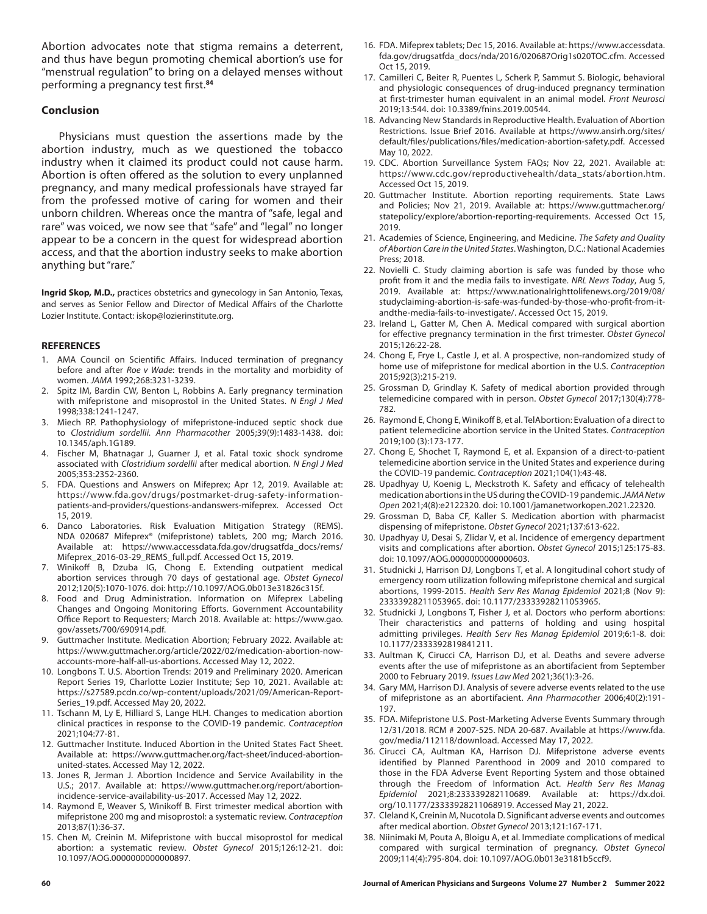Abortion advocates note that stigma remains a deterrent, and thus have begun promoting chemical abortion's use for "menstrual regulation" to bring on a delayed menses without performing a pregnancy test first.**<sup>84</sup>**

#### **Conclusion**

Physicians must question the assertions made by the abortion industry, much as we questioned the tobacco industry when it claimed its product could not cause harm. Abortion is often offered as the solution to every unplanned pregnancy, and many medical professionals have strayed far from the professed motive of caring for women and their unborn children. Whereas once the mantra of "safe, legal and rare" was voiced, we now see that "safe" and "legal" no longer appear to be a concern in the quest for widespread abortion access, and that the abortion industry seeks to make abortion anything but "rare."

**Ingrid Skop, M.D.,** practices obstetrics and gynecology in San Antonio, Texas, and serves as Senior Fellow and Director of Medical Affairs of the Charlotte Lozier Institute. Contact: iskop@lozierinstitute.org.

#### **REFERENCES**

- 1. AMA Council on Scientific Affairs. Induced termination of pregnancy before and after *Roe v Wade*: trends in the mortality and morbidity of women. *JAMA* 1992;268:3231-3239.
- 2. Spitz IM, Bardin CW, Benton L, Robbins A. Early pregnancy termination with mifepristone and misoprostol in the United States. *N Engl J Med*  1998;338:1241-1247.
- 3. Miech RP. Pathophysiology of mifepristone-induced septic shock due to *Clostridium sordellii. Ann Pharmacother* 2005;39(9):1483-1438. doi: 10.1345/aph.1G189.
- 4. Fischer M, Bhatnagar J, Guarner J, et al. Fatal toxic shock syndrome associated with *Clostridium sordellii* after medical abortion. *N Engl J Med*  2005;353:2352-2360.
- 5. FDA. Questions and Answers on Mifeprex; Apr 12, 2019. Available at: https://www.fda.gov/drugs/postmarket-drug-safety-informationpatients-and-providers/questions-andanswers-mifeprex. Accessed Oct 15, 2019.
- 6. Danco Laboratories. Risk Evaluation Mitigation Strategy (REMS). NDA 020687 Mifeprex® (mifepristone) tablets, 200 mg; March 2016. Available at: https://www.accessdata.fda.gov/drugsatfda\_docs/rems/ Mifeprex\_2016-03-29\_REMS\_full.pdf. Accessed Oct 15, 2019.
- 7. Winikoff B, Dzuba IG, Chong E. Extending outpatient medical abortion services through 70 days of gestational age. *Obstet Gynecol*  2012;120(5):1070-1076. doi: http://10.1097/AOG.0b013e31826c315f.
- 8. Food and Drug Administration. Information on Mifeprex Labeling Changes and Ongoing Monitoring Efforts. Government Accountability Office Report to Requesters; March 2018. Available at: https://www.gao. gov/assets/700/690914.pdf.
- Guttmacher Institute. Medication Abortion; February 2022. Available at: https://www.guttmacher.org/article/2022/02/medication-abortion-nowaccounts-more-half-all-us-abortions. Accessed May 12, 2022.
- 10. Longbons T. U.S. Abortion Trends: 2019 and Preliminary 2020. American Report Series 19, Charlotte Lozier Institute; Sep 10, 2021. Available at: https://s27589.pcdn.co/wp-content/uploads/2021/09/American-Report-Series\_19.pdf. Accessed May 20, 2022.
- 11. Tschann M, Ly E, Hilliard S, Lange HLH. Changes to medication abortion clinical practices in response to the COVID-19 pandemic. *Contraception*  2021;104:77-81.
- 12. Guttmacher Institute. Induced Abortion in the United States Fact Sheet. Available at: https://www.guttmacher.org/fact-sheet/induced-abortionunited-states. Accessed May 12, 2022.
- 13. Jones R, Jerman J. Abortion Incidence and Service Availability in the U.S.; 2017. Available at: https://www.guttmacher.org/report/abortionincidence-service-availability-us-2017. Accessed May 12, 2022.
- 14. Raymond E, Weaver S, Winikoff B. First trimester medical abortion with mifepristone 200 mg and misoprostol: a systematic review. *Contraception*  2013;87(1):36-37.
- 15. Chen M, Creinin M. Mifepristone with buccal misoprostol for medical abortion: a systematic review. *Obstet Gynecol* 2015;126:12-21. doi: 10.1097/AOG.0000000000000897.
- 16. FDA. Mifeprex tablets; Dec 15, 2016. Available at: https://www.accessdata. fda.gov/drugsatfda\_docs/nda/2016/020687Orig1s020TOC.cfm. Accessed Oct 15, 2019.
- 17. Camilleri C, Beiter R, Puentes L, Scherk P, Sammut S. Biologic, behavioral and physiologic consequences of drug-induced pregnancy termination at first-trimester human equivalent in an animal model. *Front Neurosci*  2019;13:544. doi: 10.3389/fnins.2019.00544.
- 18. Advancing New Standards in Reproductive Health. Evaluation of Abortion Restrictions. Issue Brief 2016. Available at https://www.ansirh.org/sites/ default/files/publications/files/medication-abortion-safety.pdf. Accessed May 10, 2022.
- 19. CDC. Abortion Surveillance System FAQs; Nov 22, 2021. Available at: https://www.cdc.gov/reproductivehealth/data\_stats/abortion.htm. Accessed Oct 15, 2019.
- 20. Guttmacher Institute. Abortion reporting requirements. State Laws and Policies; Nov 21, 2019. Available at: https://www.guttmacher.org/ statepolicy/explore/abortion-reporting-requirements. Accessed Oct 15, 2019.
- 21. Academies of Science, Engineering, and Medicine. *The Safety and Quality of Abortion Care in the United States*. Washington, D.C.: National Academies Press; 2018.
- 22. Novielli C. Study claiming abortion is safe was funded by those who profit from it and the media fails to investigate. *NRL News Today*, Aug 5, 2019. Available at: https://www.nationalrighttolifenews.org/2019/08/ studyclaiming-abortion-is-safe-was-funded-by-those-who-profit-from-itandthe-media-fails-to-investigate/. Accessed Oct 15, 2019.
- 23. Ireland L, Gatter M, Chen A. Medical compared with surgical abortion for effective pregnancy termination in the first trimester. *Obstet Gynecol*  2015;126:22-28.
- 24. Chong E, Frye L, Castle J, et al. A prospective, non-randomized study of home use of mifepristone for medical abortion in the U.S. *Contraception*  2015;92(3):215-219.
- 25. Grossman D, Grindlay K. Safety of medical abortion provided through telemedicine compared with in person. *Obstet Gynecol* 2017;130(4):778- 782.
- 26. Raymond E, Chong E, Winikoff B, et al. TelAbortion: Evaluation of a direct to patient telemedicine abortion service in the United States. *Contraception*  2019;100 (3):173-177.
- 27. Chong E, Shochet T, Raymond E, et al. Expansion of a direct-to-patient telemedicine abortion service in the United States and experience during the COVID-19 pandemic. *Contraception* 2021;104(1):43-48.
- 28. Upadhyay U, Koenig L, Meckstroth K. Safety and efficacy of telehealth medication abortions in the US during the COVID-19 pandemic. *JAMA Netw Open* 2021;4(8):e2122320. doi: 10.1001/jamanetworkopen.2021.22320.
- 29. Grossman D, Baba CF, Kaller S. Medication abortion with pharmacist dispensing of mifepristone. *Obstet Gynecol* 2021;137:613-622.
- 30. Upadhyay U, Desai S, Zlidar V, et al. Incidence of emergency department visits and complications after abortion. *Obstet Gynecol* 2015;125:175-83. doi: 10.1097/AOG.0000000000000603.
- 31. Studnicki J, Harrison DJ, Longbons T, et al. A longitudinal cohort study of emergency room utilization following mifepristone chemical and surgical abortions, 1999-2015. *Health Serv Res Manag Epidemiol* 2021;8 (Nov 9): 23333928211053965. doi: 10.1177/23333928211053965.
- 32. Studnicki J, Longbons T, Fisher J, et al. Doctors who perform abortions: Their characteristics and patterns of holding and using hospital admitting privileges. *Health Serv Res Manag Epidemiol* 2019;6:1-8. doi: 10.1177/2333392819841211.
- 33. Aultman K, Cirucci CA, Harrison DJ, et al. Deaths and severe adverse events after the use of mifepristone as an abortifacient from September 2000 to February 2019. *Issues Law Med* 2021;36(1):3-26.
- 34. Gary MM, Harrison DJ. Analysis of severe adverse events related to the use of mifepristone as an abortifacient. *Ann Pharmacother* 2006;40(2):191- 197.
- 35. FDA. Mifepristone U.S. Post-Marketing Adverse Events Summary through 12/31/2018. RCM # 2007-525. NDA 20-687. Available at https://www.fda. gov/media/112118/download. Accessed May 17, 2022.
- 36. Cirucci CA, Aultman KA, Harrison DJ. Mifepristone adverse events identified by Planned Parenthood in 2009 and 2010 compared to those in the FDA Adverse Event Reporting System and those obtained through the Freedom of Information Act. *Health Serv Res Manag Epidemiol* 2021;8:233339282110689. Available at: https://dx.doi. org/10.1177/23333928211068919. Accessed May 21, 2022.
- 37. Cleland K, Creinin M, Nucotola D. Significant adverse events and outcomes after medical abortion. *Obstet Gynecol* 2013;121:167-171.
- 38. Niinimaki M, Pouta A, Bloigu A, et al. Immediate complications of medical compared with surgical termination of pregnancy. *Obstet Gynecol*  2009;114(4):795-804. doi: 10.1097/AOG.0b013e3181b5ccf9.